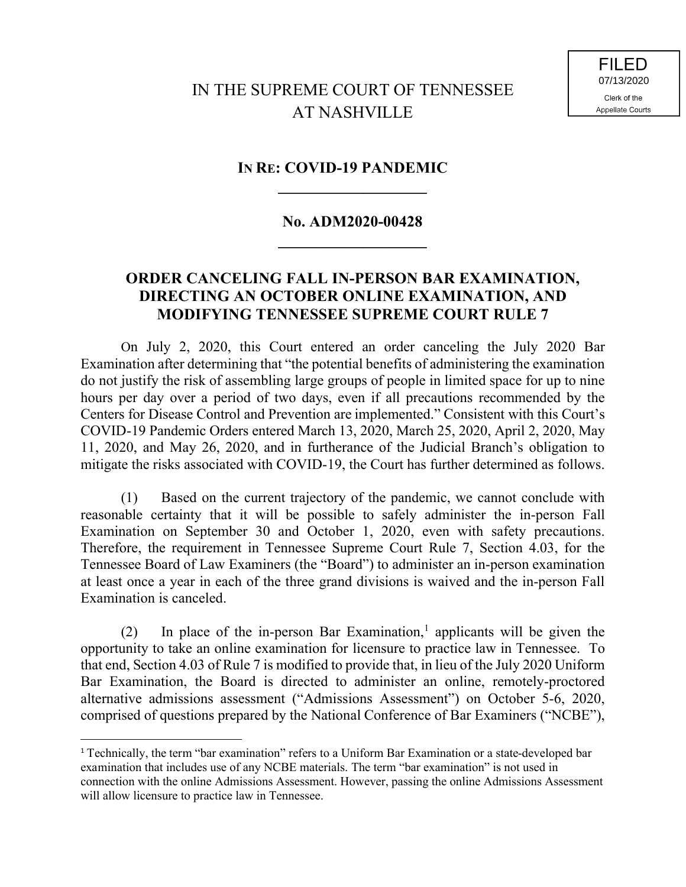**FILED** 07/13/2020Clerk of the **Appellate Courts** 

## **IN RE: COVID-19 PANDEMIC**

## **No. ADM2020-00428**

**\_\_\_\_\_\_\_\_\_\_\_\_\_\_\_\_\_\_\_**

## **ORDER CANCELING FALL IN-PERSON BAR EXAMINATION, DIRECTING AN OCTOBER ONLINE EXAMINATION, AND MODIFYING TENNESSEE SUPREME COURT RULE 7**

On July 2, 2020, this Court entered an order canceling the July 2020 Bar Examination after determining that "the potential benefits of administering the examination do not justify the risk of assembling large groups of people in limited space for up to nine hours per day over a period of two days, even if all precautions recommended by the Centers for Disease Control and Prevention are implemented." Consistent with this Court's COVID-19 Pandemic Orders entered March 13, 2020, March 25, 2020, April 2, 2020, May 11, 2020, and May 26, 2020, and in furtherance of the Judicial Branch's obligation to mitigate the risks associated with COVID-19, the Court has further determined as follows.

(1) Based on the current trajectory of the pandemic, we cannot conclude with reasonable certainty that it will be possible to safely administer the in-person Fall Examination on September 30 and October 1, 2020, even with safety precautions. Therefore, the requirement in Tennessee Supreme Court Rule 7, Section 4.03, for the Tennessee Board of Law Examiners (the "Board") to administer an in-person examination at least once a year in each of the three grand divisions is waived and the in-person Fall Examination is canceled.

(2) In place of the in-person Bar Examination,<sup>1</sup> applicants will be given the opportunity to take an online examination for licensure to practice law in Tennessee. To that end, Section 4.03 of Rule 7 is modified to provide that, in lieu of the July 2020 Uniform Bar Examination, the Board is directed to administer an online, remotely-proctored alternative admissions assessment ("Admissions Assessment") on October 5-6, 2020, comprised of questions prepared by the National Conference of Bar Examiners ("NCBE"),

l

<sup>1</sup> Technically, the term "bar examination" refers to a Uniform Bar Examination or a state-developed bar examination that includes use of any NCBE materials. The term "bar examination" is not used in connection with the online Admissions Assessment. However, passing the online Admissions Assessment will allow licensure to practice law in Tennessee.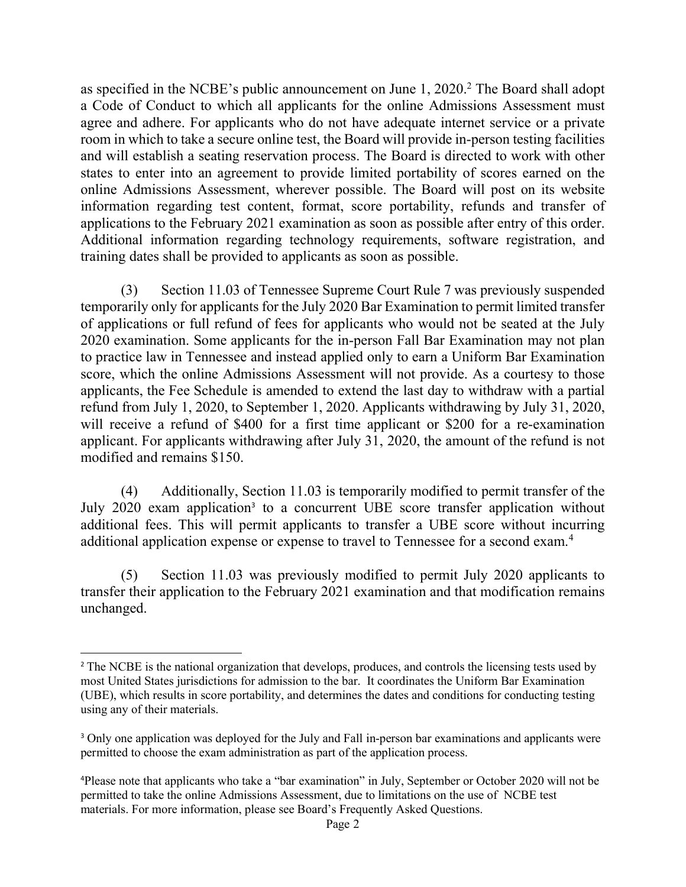as specified in the NCBE's public announcement on June 1, 2020.<sup>2</sup> The Board shall adopt a Code of Conduct to which all applicants for the online Admissions Assessment must agree and adhere. For applicants who do not have adequate internet service or a private room in which to take a secure online test, the Board will provide in-person testing facilities and will establish a seating reservation process. The Board is directed to work with other states to enter into an agreement to provide limited portability of scores earned on the online Admissions Assessment, wherever possible. The Board will post on its website information regarding test content, format, score portability, refunds and transfer of applications to the February 2021 examination as soon as possible after entry of this order. Additional information regarding technology requirements, software registration, and training dates shall be provided to applicants as soon as possible.

(3) Section 11.03 of Tennessee Supreme Court Rule 7 was previously suspended temporarily only for applicants for the July 2020 Bar Examination to permit limited transfer of applications or full refund of fees for applicants who would not be seated at the July 2020 examination. Some applicants for the in-person Fall Bar Examination may not plan to practice law in Tennessee and instead applied only to earn a Uniform Bar Examination score, which the online Admissions Assessment will not provide. As a courtesy to those applicants, the Fee Schedule is amended to extend the last day to withdraw with a partial refund from July 1, 2020, to September 1, 2020. Applicants withdrawing by July 31, 2020, will receive a refund of \$400 for a first time applicant or \$200 for a re-examination applicant. For applicants withdrawing after July  $31, 2020$ , the amount of the refund is not modified and remains \$150.

(4) Additionally, Section 11.03 is temporarily modified to permit transfer of the July 2020 exam application<sup>3</sup> to a concurrent UBE score transfer application without additional fees. This will permit applicants to transfer a UBE score without incurring additional application expense or expense to travel to Tennessee for a second exam.<sup>4</sup>

(5) Section 11.03 was previously modified to permit July 2020 applicants to transfer their application to the February 2021 examination and that modification remains unchanged.

 $\overline{a}$ 

<sup>&</sup>lt;sup>2</sup> The NCBE is the national organization that develops, produces, and controls the licensing tests used by most United States jurisdictions for admission to the bar. It coordinates the Uniform Bar Examination (UBE), which results in score portability, and determines the dates and conditions for conducting testing using any of their materials.

<sup>&</sup>lt;sup>3</sup> Only one application was deployed for the July and Fall in-person bar examinations and applicants were permitted to choose the exam administration as part of the application process.

<sup>4</sup>Please note that applicants who take a "bar examination" in July, September or October 2020 will not be permitted to take the online Admissions Assessment, due to limitations on the use of NCBE test materials. For more information, please see Board's Frequently Asked Questions.